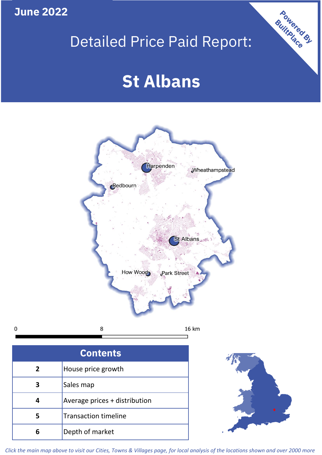**June 2022**

 $\mathbf 0$ 

## Detailed Price Paid Report:

# **St Albans**



| <b>Contents</b> |                               |  |  |
|-----------------|-------------------------------|--|--|
| $\mathbf{2}$    | House price growth            |  |  |
|                 | Sales map                     |  |  |
|                 | Average prices + distribution |  |  |
| 5               | <b>Transaction timeline</b>   |  |  |
|                 | Depth of market               |  |  |



Powered By

*Click the main map above to visit our Cities, Towns & Villages page, for local analysis of the locations shown and over 2000 more*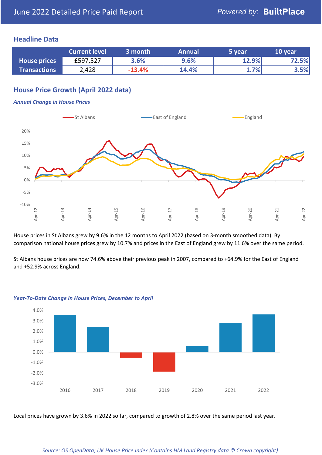### **Headline Data**

|                     | <b>Current level</b> | 3 month  | <b>Annual</b> | 5 year | 10 year |
|---------------------|----------------------|----------|---------------|--------|---------|
| <b>House prices</b> | £597,527             | 3.6%     | 9.6%          | 12.9%  | 72.5%   |
| <b>Transactions</b> | 2,428                | $-13.4%$ | 14.4%         | 1.7%   | 3.5%    |

## **House Price Growth (April 2022 data)**

#### *Annual Change in House Prices*



House prices in St Albans grew by 9.6% in the 12 months to April 2022 (based on 3-month smoothed data). By comparison national house prices grew by 10.7% and prices in the East of England grew by 11.6% over the same period.

St Albans house prices are now 74.6% above their previous peak in 2007, compared to +64.9% for the East of England and +52.9% across England.



#### *Year-To-Date Change in House Prices, December to April*

Local prices have grown by 3.6% in 2022 so far, compared to growth of 2.8% over the same period last year.

#### *Source: OS OpenData; UK House Price Index (Contains HM Land Registry data © Crown copyright)*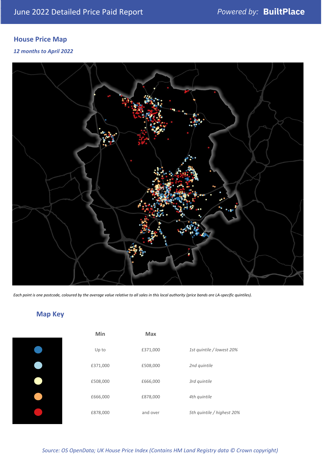## **House Price Map**

#### *12 months to April 2022*



*Each point is one postcode, coloured by the average value relative to all sales in this local authority (price bands are LA-specific quintiles).*

## **Map Key**

| Min      | <b>Max</b> |              |
|----------|------------|--------------|
| Up to    | £371,000   | 1st quintile |
| £371,000 | £508,000   | 2nd quintile |
| £508,000 | £666,000   | 3rd quintile |
| £666,000 | £878,000   | 4th quintile |
| £878,000 | and over   | 5th quintile |
|          |            |              |

*Source: OS OpenData; UK House Price Index (Contains HM Land Registry data © Crown copyright)*

0% Up to £371,000 *1st quintile / lowest 20%*

5th quintile / highest 20%

2nd quintile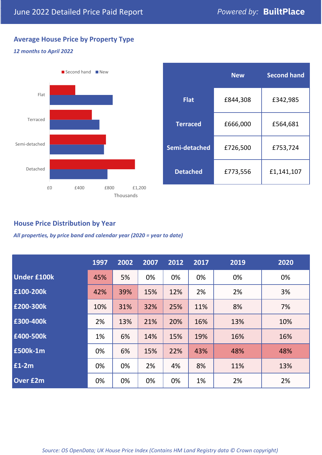## **Average House Price by Property Type**

#### *12 months to April 2022*



|                 | <b>New</b> | <b>Second hand</b> |  |
|-----------------|------------|--------------------|--|
| <b>Flat</b>     | £844,308   | £342,985           |  |
| <b>Terraced</b> | £666,000   | £564,681           |  |
| Semi-detached   | £726,500   | £753,724           |  |
| <b>Detached</b> | £773,556   | £1,141,107         |  |

## **House Price Distribution by Year**

*All properties, by price band and calendar year (2020 = year to date)*

|                    | 1997 | 2002 | 2007 | 2012 | 2017 | 2019 | 2020 |
|--------------------|------|------|------|------|------|------|------|
| <b>Under £100k</b> | 45%  | 5%   | 0%   | 0%   | 0%   | 0%   | 0%   |
| £100-200k          | 42%  | 39%  | 15%  | 12%  | 2%   | 2%   | 3%   |
| E200-300k          | 10%  | 31%  | 32%  | 25%  | 11%  | 8%   | 7%   |
| £300-400k          | 2%   | 13%  | 21%  | 20%  | 16%  | 13%  | 10%  |
| £400-500k          | 1%   | 6%   | 14%  | 15%  | 19%  | 16%  | 16%  |
| £500k-1m           | 0%   | 6%   | 15%  | 22%  | 43%  | 48%  | 48%  |
| £1-2m              | 0%   | 0%   | 2%   | 4%   | 8%   | 11%  | 13%  |
| <b>Over £2m</b>    | 0%   | 0%   | 0%   | 0%   | 1%   | 2%   | 2%   |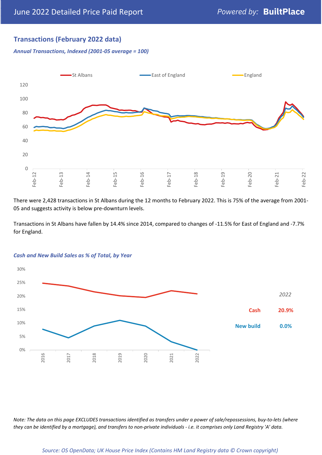## **Transactions (February 2022 data)**

*Annual Transactions, Indexed (2001-05 average = 100)*



There were 2,428 transactions in St Albans during the 12 months to February 2022. This is 75% of the average from 2001- 05 and suggests activity is below pre-downturn levels.

Transactions in St Albans have fallen by 14.4% since 2014, compared to changes of -11.5% for East of England and -7.7% for England.



#### *Cash and New Build Sales as % of Total, by Year*

*Note: The data on this page EXCLUDES transactions identified as transfers under a power of sale/repossessions, buy-to-lets (where they can be identified by a mortgage), and transfers to non-private individuals - i.e. it comprises only Land Registry 'A' data.*